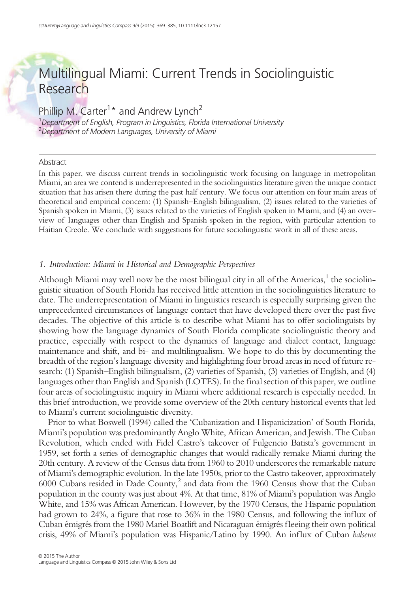# Multilingual Miami: Current Trends in Sociolinguistic Research

Phillip M. Carter<sup>1\*</sup> and Andrew Lynch<sup>2</sup> <sup>1</sup>Department of English, Program in Linguistics, Florida International University <sup>2</sup> Department of Modern Languages, University of Miami

#### Abstract

In this paper, we discuss current trends in sociolinguistic work focusing on language in metropolitan Miami, an area we contend is underrepresented in the sociolinguistics literature given the unique contact situation that has arisen there during the past half century. We focus our attention on four main areas of theoretical and empirical concern: (1) Spanish–English bilingualism, (2) issues related to the varieties of Spanish spoken in Miami, (3) issues related to the varieties of English spoken in Miami, and (4) an overview of languages other than English and Spanish spoken in the region, with particular attention to Haitian Creole. We conclude with suggestions for future sociolinguistic work in all of these areas.

#### 1. Introduction: Miami in Historical and Demographic Perspectives

Although Miami may well now be the most bilingual city in all of the Americas, $<sup>1</sup>$  the sociolin-</sup> guistic situation of South Florida has received little attention in the sociolinguistics literature to date. The underrepresentation of Miami in linguistics research is especially surprising given the unprecedented circumstances of language contact that have developed there over the past five decades. The objective of this article is to describe what Miami has to offer sociolinguists by showing how the language dynamics of South Florida complicate sociolinguistic theory and practice, especially with respect to the dynamics of language and dialect contact, language maintenance and shift, and bi- and multilingualism. We hope to do this by documenting the breadth of the region's language diversity and highlighting four broad areas in need of future research: (1) Spanish–English bilingualism, (2) varieties of Spanish, (3) varieties of English, and (4) languages other than English and Spanish (LOTES). In the final section of this paper, we outline four areas of sociolinguistic inquiry in Miami where additional research is especially needed. In this brief introduction, we provide some overview of the 20th century historical events that led to Miami's current sociolinguistic diversity.

Prior to what Boswell (1994) called the 'Cubanization and Hispanicization' of South Florida, Miami's population was predominantly Anglo White, African American, and Jewish. The Cuban Revolution, which ended with Fidel Castro's takeover of Fulgencio Batista's government in 1959, set forth a series of demographic changes that would radically remake Miami during the 20th century. A review of the Census data from 1960 to 2010 underscores the remarkable nature of Miami's demographic evolution. In the late 1950s, prior to the Castro takeover, approximately 6000 Cubans resided in Dade County, $^2$  and data from the 1960 Census show that the Cuban population in the county was just about 4%. At that time, 81% of Miami's population was Anglo White, and 15% was African American. However, by the 1970 Census, the Hispanic population had grown to 24%, a figure that rose to 36% in the 1980 Census, and following the influx of Cuban émigrés from the 1980 Mariel Boatlift and Nicaraguan émigrés f leeing their own political crisis, 49% of Miami's population was Hispanic/Latino by 1990. An influx of Cuban balseros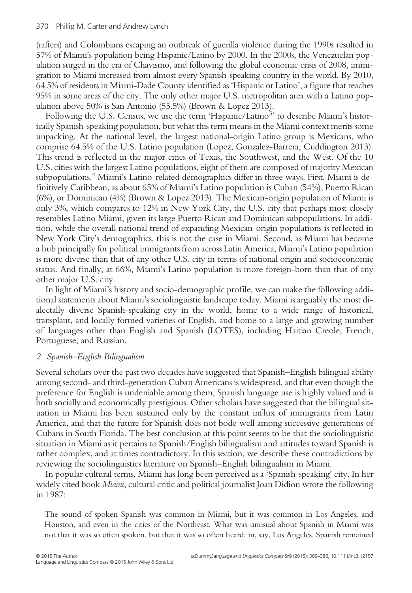(rafters) and Colombians escaping an outbreak of guerilla violence during the 1990s resulted in 57% of Miami's population being Hispanic/Latino by 2000. In the 2000s, the Venezuelan population surged in the era of Chavismo, and following the global economic crisis of 2008, immigration to Miami increased from almost every Spanish-speaking country in the world. By 2010, 64.5% of residents in Miami-Dade County identified as 'Hispanic or Latino', a figure that reaches 95% in some areas of the city. The only other major U.S. metropolitan area with a Latino population above 50% is San Antonio (55.5%) (Brown & Lopez 2013).

Following the U.S. Census, we use the term 'Hispanic/Latino<sup>3</sup>' to describe Miami's historically Spanish-speaking population, but what this term means in the Miami context merits some unpacking. At the national level, the largest national-origin Latino group is Mexicans, who comprise 64.5% of the U.S. Latino population (Lopez, Gonzalez-Barrera, Cuddington 2013). This trend is ref lected in the major cities of Texas, the Southwest, and the West. Of the 10 U.S. cities with the largest Latino populations, eight of them are composed of majority Mexican subpopulations.<sup>4</sup> Miami's Latino-related demographics differ in three ways. First, Miami is definitively Caribbean, as about 65% of Miami's Latino population is Cuban (54%), Puerto Rican (6%), or Dominican (4%) (Brown & Lopez 2013). The Mexican-origin population of Miami is only 3%, which compares to 12% in New York City, the U.S. city that perhaps most closely resembles Latino Miami, given its large Puerto Rican and Dominican subpopulations. In addition, while the overall national trend of expanding Mexican-origin populations is ref lected in New York City's demographics, this is not the case in Miami. Second, as Miami has become a hub principally for political immigrants from across Latin America, Miami's Latino population is more diverse than that of any other U.S. city in terms of national origin and socioeconomic status. And finally, at 66%, Miami's Latino population is more foreign-born than that of any other major U.S. city.

In light of Miami's history and socio-demographic profile, we can make the following additional statements about Miami's sociolinguistic landscape today. Miami is arguably the most dialectally diverse Spanish-speaking city in the world, home to a wide range of historical, transplant, and locally formed varieties of English, and home to a large and growing number of languages other than English and Spanish (LOTES), including Haitian Creole, French, Portuguese, and Russian.

## 2. Spanish–English Bilingualism

Several scholars over the past two decades have suggested that Spanish–English bilingual ability among second- and third-generation Cuban Americans is widespread, and that even though the preference for English is undeniable among them, Spanish language use is highly valued and is both socially and economically prestigious. Other scholars have suggested that the bilingual situation in Miami has been sustained only by the constant influx of immigrants from Latin America, and that the future for Spanish does not bode well among successive generations of Cubans in South Florida. The best conclusion at this point seems to be that the sociolinguistic situation in Miami as it pertains to Spanish/English bilingualism and attitudes toward Spanish is rather complex, and at times contradictory. In this section, we describe these contradictions by reviewing the sociolinguistics literature on Spanish–English bilingualism in Miami.

In popular cultural terms, Miami has long been perceived as a 'Spanish-speaking' city. In her widely cited book *Miami*, cultural critic and political journalist Joan Didion wrote the following in 1987:

The sound of spoken Spanish was common in Miami, but it was common in Los Angeles, and Houston, and even in the cities of the Northeast. What was unusual about Spanish in Miami was not that it was so often spoken, but that it was so often heard: in, say, Los Angeles, Spanish remained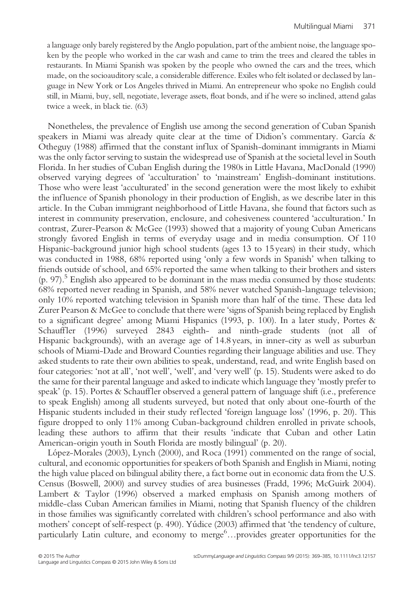a language only barely registered by the Anglo population, part of the ambient noise, the language spoken by the people who worked in the car wash and came to trim the trees and cleared the tables in restaurants. In Miami Spanish was spoken by the people who owned the cars and the trees, which made, on the socioauditory scale, a considerable difference. Exiles who felt isolated or declassed by language in New York or Los Angeles thrived in Miami. An entrepreneur who spoke no English could still, in Miami, buy, sell, negotiate, leverage assets, float bonds, and if he were so inclined, attend galas twice a week, in black tie. (63)

Nonetheless, the prevalence of English use among the second generation of Cuban Spanish speakers in Miami was already quite clear at the time of Didion's commentary. García & Otheguy (1988) affirmed that the constant influx of Spanish-dominant immigrants in Miami was the only factor serving to sustain the widespread use of Spanish at the societal level in South Florida. In her studies of Cuban English during the 1980s in Little Havana, MacDonald (1990) observed varying degrees of 'acculturation' to 'mainstream' English-dominant institutions. Those who were least 'acculturated' in the second generation were the most likely to exhibit the inf luence of Spanish phonology in their production of English, as we describe later in this article. In the Cuban immigrant neighborhood of Little Havana, she found that factors such as interest in community preservation, enclosure, and cohesiveness countered 'acculturation.' In contrast, Zurer-Pearson & McGee (1993) showed that a majority of young Cuban Americans strongly favored English in terms of everyday usage and in media consumption. Of 110 Hispanic-background junior high school students (ages 13 to 15 years) in their study, which was conducted in 1988, 68% reported using 'only a few words in Spanish' when talking to friends outside of school, and 65% reported the same when talking to their brothers and sisters  $(p. 97)$ .<sup>5</sup> English also appeared to be dominant in the mass media consumed by those students: 68% reported never reading in Spanish, and 58% never watched Spanish-language television; only 10% reported watching television in Spanish more than half of the time. These data led Zurer Pearson & McGee to conclude that there were 'signs of Spanish being replaced by English to a significant degree' among Miami Hispanics (1993, p. 100). In a later study, Portes & Schauffler (1996) surveyed 2843 eighth- and ninth-grade students (not all of Hispanic backgrounds), with an average age of 14.8 years, in inner-city as well as suburban schools of Miami-Dade and Broward Counties regarding their language abilities and use. They asked students to rate their own abilities to speak, understand, read, and write English based on four categories: 'not at all', 'not well', 'well', and 'very well' (p. 15). Students were asked to do the same for their parental language and asked to indicate which language they 'mostly prefer to speak' (p. 15). Portes & Schauff ler observed a general pattern of language shift (i.e., preference to speak English) among all students surveyed, but noted that only about one-fourth of the Hispanic students included in their study ref lected 'foreign language loss' (1996, p. 20). This figure dropped to only 11% among Cuban-background children enrolled in private schools, leading these authors to affirm that their results 'indicate that Cuban and other Latin American-origin youth in South Florida are mostly bilingual' (p. 20).

López-Morales (2003), Lynch (2000), and Roca (1991) commented on the range of social, cultural, and economic opportunities for speakers of both Spanish and English in Miami, noting the high value placed on bilingual ability there, a fact borne out in economic data from the U.S. Census (Boswell, 2000) and survey studies of area businesses (Fradd, 1996; McGuirk 2004). Lambert & Taylor (1996) observed a marked emphasis on Spanish among mothers of middle-class Cuban American families in Miami, noting that Spanish fluency of the children in those families was significantly correlated with children's school performance and also with mothers' concept of self-respect (p. 490). Yúdice (2003) affirmed that 'the tendency of culture, particularly Latin culture, and economy to merge<sup>6</sup>...provides greater opportunities for the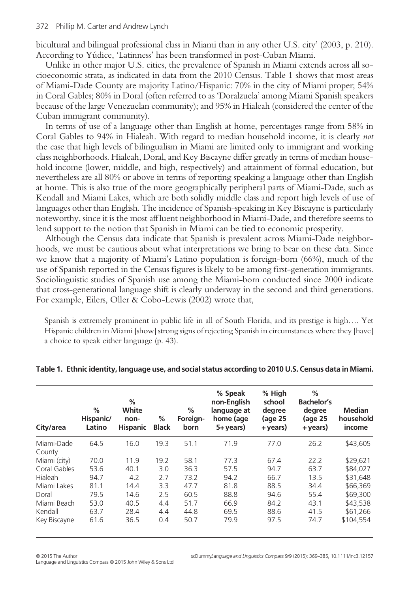bicultural and bilingual professional class in Miami than in any other U.S. city' (2003, p. 210). According to Yúdice, 'Latinness' has been transformed in post-Cuban Miami.

Unlike in other major U.S. cities, the prevalence of Spanish in Miami extends across all socioeconomic strata, as indicated in data from the 2010 Census. Table 1 shows that most areas of Miami-Dade County are majority Latino/Hispanic: 70% in the city of Miami proper; 54% in Coral Gables; 80% in Doral (often referred to as 'Doralzuela' among Miami Spanish speakers because of the large Venezuelan community); and 95% in Hialeah (considered the center of the Cuban immigrant community).

In terms of use of a language other than English at home, percentages range from 58% in Coral Gables to 94% in Hialeah. With regard to median household income, it is clearly not the case that high levels of bilingualism in Miami are limited only to immigrant and working class neighborhoods. Hialeah, Doral, and Key Biscayne differ greatly in terms of median household income (lower, middle, and high, respectively) and attainment of formal education, but nevertheless are all 80% or above in terms of reporting speaking a language other than English at home. This is also true of the more geographically peripheral parts of Miami-Dade, such as Kendall and Miami Lakes, which are both solidly middle class and report high levels of use of languages other than English. The incidence of Spanish-speaking in Key Biscayne is particularly noteworthy, since it is the most aff luent neighborhood in Miami-Dade, and therefore seems to lend support to the notion that Spanish in Miami can be tied to economic prosperity.

Although the Census data indicate that Spanish is prevalent across Miami-Dade neighborhoods, we must be cautious about what interpretations we bring to bear on these data. Since we know that a majority of Miami's Latino population is foreign-born (66%), much of the use of Spanish reported in the Census figures is likely to be among first-generation immigrants. Sociolinguistic studies of Spanish use among the Miami-born conducted since 2000 indicate that cross-generational language shift is clearly underway in the second and third generations. For example, Eilers, Oller & Cobo-Lewis (2002) wrote that,

Spanish is extremely prominent in public life in all of South Florida, and its prestige is high…. Yet Hispanic children in Miami [show] strong signs of rejecting Spanish in circumstances where they [have] a choice to speak either language (p. 43).

| City/area    | %<br>Hispanic/<br>Latino | %<br>White<br>non-<br><b>Hispanic</b> | %<br><b>Black</b> | %<br>Foreign-<br>born | % Speak<br>non-English<br>language at<br>home (age<br>5+ years) | % High<br>school<br>degree<br>(age $25$<br>+ years) | %<br><b>Bachelor's</b><br>degree<br>(aq <sub>e</sub> 25)<br>+ years) | <b>Median</b><br>household<br>income |
|--------------|--------------------------|---------------------------------------|-------------------|-----------------------|-----------------------------------------------------------------|-----------------------------------------------------|----------------------------------------------------------------------|--------------------------------------|
| Miami-Dade   | 64.5                     | 16.0                                  | 19.3              | 51.1                  | 71.9                                                            | 77.0                                                | 26.2                                                                 | \$43,605                             |
| County       |                          |                                       |                   |                       |                                                                 |                                                     |                                                                      |                                      |
| Miami (city) | 70.0                     | 11.9                                  | 19.2              | 58.1                  | 77.3                                                            | 67.4                                                | 22.2                                                                 | \$29,621                             |
| Coral Gables | 53.6                     | 40.1                                  | 3.0               | 36.3                  | 57.5                                                            | 94.7                                                | 63.7                                                                 | \$84,027                             |
| Hialeah      | 94.7                     | 4.2                                   | 2.7               | 73.2                  | 94.2                                                            | 66.7                                                | 13.5                                                                 | \$31,648                             |
| Miami Lakes  | 81.1                     | 14.4                                  | 3.3               | 47.7                  | 81.8                                                            | 88.5                                                | 34.4                                                                 | \$66.369                             |
| Doral        | 79.5                     | 14.6                                  | 2.5               | 60.5                  | 88.8                                                            | 94.6                                                | 55.4                                                                 | \$69,300                             |
| Miami Beach  | 53.0                     | 40.5                                  | 4.4               | 51.7                  | 66.9                                                            | 84.2                                                | 43.1                                                                 | \$43.538                             |
| Kendall      | 63.7                     | 28.4                                  | 4.4               | 44.8                  | 69.5                                                            | 88.6                                                | 41.5                                                                 | \$61,266                             |
| Key Biscayne | 61.6                     | 36.5                                  | 0.4               | 50.7                  | 79.9                                                            | 97.5                                                | 74.7                                                                 | \$104.554                            |

#### Table 1. Ethnic identity, language use, and social status according to 2010 U.S. Census data in Miami.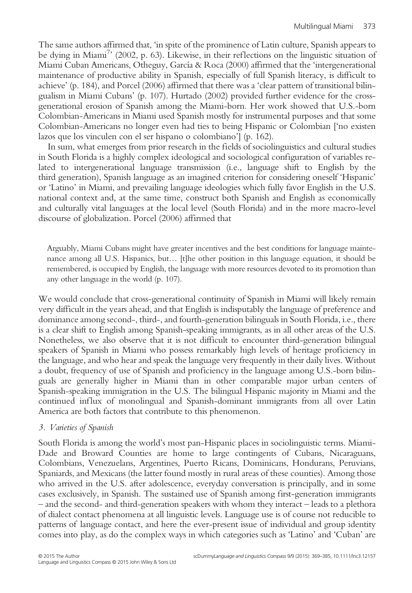The same authors affirmed that, 'in spite of the prominence of Latin culture, Spanish appears to be dying in Miami<sup>7</sup>' (2002, p. 63). Likewise, in their reflections on the linguistic situation of Miami Cuban Americans, Otheguy, García & Roca (2000) affirmed that the 'intergenerational maintenance of productive ability in Spanish, especially of full Spanish literacy, is difficult to achieve' (p. 184), and Porcel (2006) affirmed that there was a 'clear pattern of transitional bilingualism in Miami Cubans' (p. 107). Hurtado (2002) provided further evidence for the crossgenerational erosion of Spanish among the Miami-born. Her work showed that U.S.-born Colombian-Americans in Miami used Spanish mostly for instrumental purposes and that some Colombian-Americans no longer even had ties to being Hispanic or Colombian ['no existen lazos que los vinculen con el ser hispano o colombiano'] (p. 162).

In sum, what emerges from prior research in the fields of sociolinguistics and cultural studies in South Florida is a highly complex ideological and sociological configuration of variables related to intergenerational language transmission (i.e., language shift to English by the third generation), Spanish language as an imagined criterion for considering oneself 'Hispanic' or 'Latino' in Miami, and prevailing language ideologies which fully favor English in the U.S. national context and, at the same time, construct both Spanish and English as economically and culturally vital languages at the local level (South Florida) and in the more macro-level discourse of globalization. Porcel (2006) affirmed that

Arguably, Miami Cubans might have greater incentives and the best conditions for language maintenance among all U.S. Hispanics, but… [t]he other position in this language equation, it should be remembered, is occupied by English, the language with more resources devoted to its promotion than any other language in the world (p. 107).

We would conclude that cross-generational continuity of Spanish in Miami will likely remain very difficult in the years ahead, and that English is indisputably the language of preference and dominance among second-, third-, and fourth-generation bilinguals in South Florida, i.e., there is a clear shift to English among Spanish-speaking immigrants, as in all other areas of the U.S. Nonetheless, we also observe that it is not difficult to encounter third-generation bilingual speakers of Spanish in Miami who possess remarkably high levels of heritage proficiency in the language, and who hear and speak the language very frequently in their daily lives. Without a doubt, frequency of use of Spanish and proficiency in the language among U.S.-born bilinguals are generally higher in Miami than in other comparable major urban centers of Spanish-speaking immigration in the U.S. The bilingual Hispanic majority in Miami and the continued influx of monolingual and Spanish-dominant immigrants from all over Latin America are both factors that contribute to this phenomenon.

# 3. Varieties of Spanish

South Florida is among the world's most pan-Hispanic places in sociolinguistic terms. Miami-Dade and Broward Counties are home to large contingents of Cubans, Nicaraguans, Colombians, Venezuelans, Argentines, Puerto Ricans, Dominicans, Hondurans, Peruvians, Spaniards, and Mexicans (the latter found mostly in rural areas of these counties). Among those who arrived in the U.S. after adolescence, everyday conversation is principally, and in some cases exclusively, in Spanish. The sustained use of Spanish among first-generation immigrants – and the second- and third-generation speakers with whom they interact – leads to a plethora of dialect contact phenomena at all linguistic levels. Language use is of course not reducible to patterns of language contact, and here the ever-present issue of individual and group identity comes into play, as do the complex ways in which categories such as 'Latino' and 'Cuban' are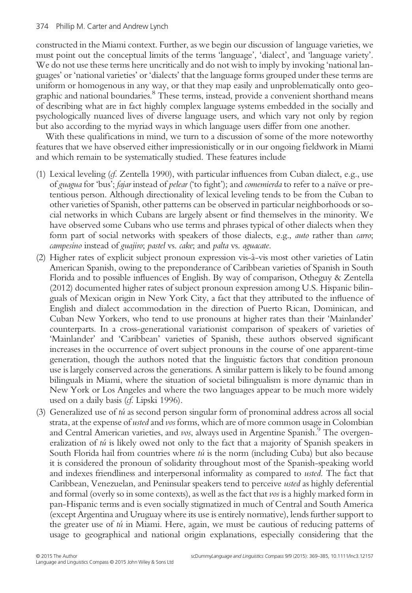constructed in the Miami context. Further, as we begin our discussion of language varieties, we must point out the conceptual limits of the terms 'language', 'dialect', and 'language variety'. We do not use these terms here uncritically and do not wish to imply by invoking 'national languages' or 'national varieties' or 'dialects' that the language forms grouped under these terms are uniform or homogenous in any way, or that they map easily and unproblematically onto geographic and national boundaries.<sup>8</sup> These terms, instead, provide a convenient shorthand means of describing what are in fact highly complex language systems embedded in the socially and psychologically nuanced lives of diverse language users, and which vary not only by region but also according to the myriad ways in which language users differ from one another.

With these qualifications in mind, we turn to a discussion of some of the more noteworthy features that we have observed either impressionistically or in our ongoing fieldwork in Miami and which remain to be systematically studied. These features include

- (1) Lexical leveling ( $f$ . Zentella 1990), with particular influences from Cuban dialect, e.g., use of guagua for 'bus'; fajar instead of pelear ('to fight'); and comemierda to refer to a naïve or pretentious person. Although directionality of lexical leveling tends to be from the Cuban to other varieties of Spanish, other patterns can be observed in particular neighborhoods or social networks in which Cubans are largely absent or find themselves in the minority. We have observed some Cubans who use terms and phrases typical of other dialects when they form part of social networks with speakers of those dialects, e.g., *auto* rather than *carro*; campesino instead of guajiro; pastel vs. cake; and palta vs. aguacate.
- (2) Higher rates of explicit subject pronoun expression vis-à-vis most other varieties of Latin American Spanish, owing to the preponderance of Caribbean varieties of Spanish in South Florida and to possible influences of English. By way of comparison, Otheguy & Zentella (2012) documented higher rates of subject pronoun expression among U.S. Hispanic bilinguals of Mexican origin in New York City, a fact that they attributed to the influence of English and dialect accommodation in the direction of Puerto Rican, Dominican, and Cuban New Yorkers, who tend to use pronouns at higher rates than their 'Mainlander' counterparts. In a cross-generational variationist comparison of speakers of varieties of 'Mainlander' and 'Caribbean' varieties of Spanish, these authors observed significant increases in the occurrence of overt subject pronouns in the course of one apparent-time generation, though the authors noted that the linguistic factors that condition pronoun use is largely conserved across the generations. A similar pattern is likely to be found among bilinguals in Miami, where the situation of societal bilingualism is more dynamic than in New York or Los Angeles and where the two languages appear to be much more widely used on a daily basis (cf. Lipski 1996).
- (3) Generalized use of tú as second person singular form of pronominal address across all social strata, at the expense of *usted* and *vos* forms, which are of more common usage in Colombian and Central American varieties, and  $\nu$ os, always used in Argentine Spanish.<sup>9</sup> The overgeneralization of tú is likely owed not only to the fact that a majority of Spanish speakers in South Florida hail from countries where  $t\acute{u}$  is the norm (including Cuba) but also because it is considered the pronoun of solidarity throughout most of the Spanish-speaking world and indexes friendliness and interpersonal informality as compared to usted. The fact that Caribbean, Venezuelan, and Peninsular speakers tend to perceive usted as highly deferential and formal (overly so in some contexts), as well as the fact that  $\nu$ os is a highly marked form in pan-Hispanic terms and is even socially stigmatized in much of Central and South America (except Argentina and Uruguay where its use is entirely normative), lends further support to the greater use of  $t\acute{u}$  in Miami. Here, again, we must be cautious of reducing patterns of usage to geographical and national origin explanations, especially considering that the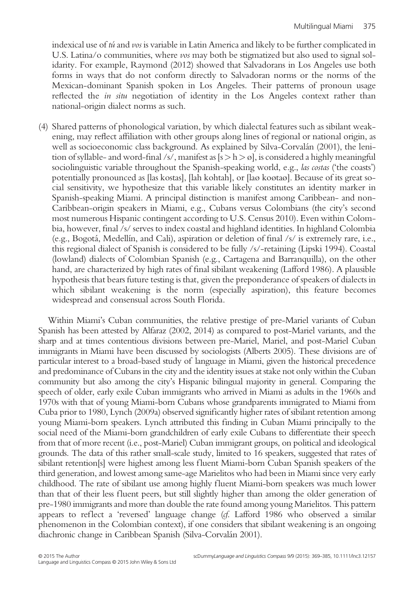indexical use of tú and vos is variable in Latin America and likely to be further complicated in U.S. Latina/o communities, where vos may both be stigmatized but also used to signal solidarity. For example, Raymond (2012) showed that Salvadorans in Los Angeles use both forms in ways that do not conform directly to Salvadoran norms or the norms of the Mexican-dominant Spanish spoken in Los Angeles. Their patterns of pronoun usage reflected the *in situ* negotiation of identity in the Los Angeles context rather than national-origin dialect norms as such.

(4) Shared patterns of phonological variation, by which dialectal features such as sibilant weakening, may reflect affiliation with other groups along lines of regional or national origin, as well as socioeconomic class background. As explained by Silva-Corvalán (2001), the lenition of syllable- and word-final /s/, manifest as  $[s > h > \emptyset]$ , is considered a highly meaningful sociolinguistic variable throughout the Spanish-speaking world, e.g., las costas ('the coasts') potentially pronounced as [las kostas], [lah kohtah], or [laø koøtaø]. Because of its great social sensitivity, we hypothesize that this variable likely constitutes an identity marker in Spanish-speaking Miami. A principal distinction is manifest among Caribbean- and non-Caribbean-origin speakers in Miami, e.g., Cubans versus Colombians (the city's second most numerous Hispanic contingent according to U.S. Census 2010). Even within Colombia, however, final /s/ serves to index coastal and highland identities. In highland Colombia (e.g., Bogotá, Medellín, and Cali), aspiration or deletion of final /s/ is extremely rare, i.e., this regional dialect of Spanish is considered to be fully /s/-retaining (Lipski 1994). Coastal (lowland) dialects of Colombian Spanish (e.g., Cartagena and Barranquilla), on the other hand, are characterized by high rates of final sibilant weakening (Lafford 1986). A plausible hypothesis that bears future testing is that, given the preponderance of speakers of dialects in which sibilant weakening is the norm (especially aspiration), this feature becomes widespread and consensual across South Florida.

Within Miami's Cuban communities, the relative prestige of pre-Mariel variants of Cuban Spanish has been attested by Alfaraz (2002, 2014) as compared to post-Mariel variants, and the sharp and at times contentious divisions between pre-Mariel, Mariel, and post-Mariel Cuban immigrants in Miami have been discussed by sociologists (Alberts 2005). These divisions are of particular interest to a broad-based study of language in Miami, given the historical precedence and predominance of Cubans in the city and the identity issues at stake not only within the Cuban community but also among the city's Hispanic bilingual majority in general. Comparing the speech of older, early exile Cuban immigrants who arrived in Miami as adults in the 1960s and 1970s with that of young Miami-born Cubans whose grandparents immigrated to Miami from Cuba prior to 1980, Lynch (2009a) observed significantly higher rates of sibilant retention among young Miami-born speakers. Lynch attributed this finding in Cuban Miami principally to the social need of the Miami-born grandchildren of early exile Cubans to differentiate their speech from that of more recent (i.e., post-Mariel) Cuban immigrant groups, on political and ideological grounds. The data of this rather small-scale study, limited to 16 speakers, suggested that rates of sibilant retention[s] were highest among less fluent Miami-born Cuban Spanish speakers of the third generation, and lowest among same-age Marielitos who had been in Miami since very early childhood. The rate of sibilant use among highly f luent Miami-born speakers was much lower than that of their less fluent peers, but still slightly higher than among the older generation of pre-1980 immigrants and more than double the rate found among young Marielitos. This pattern appears to reflect a 'reversed' language change  $(f, Lafford 1986$  who observed a similar phenomenon in the Colombian context), if one considers that sibilant weakening is an ongoing diachronic change in Caribbean Spanish (Silva-Corvalán 2001).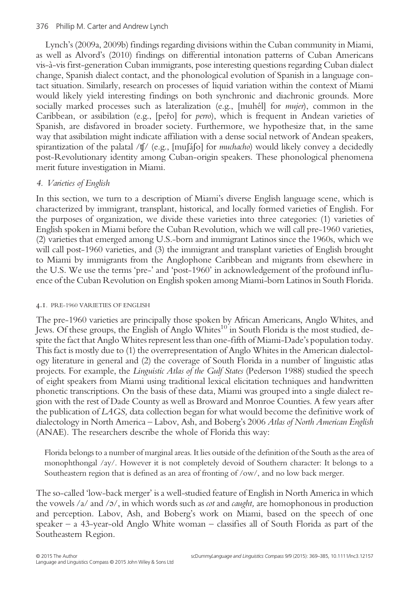## 376 Phillip M. Carter and Andrew Lynch

Lynch's (2009a, 2009b) findings regarding divisions within the Cuban community in Miami, as well as Alvord's (2010) findings on differential intonation patterns of Cuban Americans vis-à-vis first-generation Cuban immigrants, pose interesting questions regarding Cuban dialect change, Spanish dialect contact, and the phonological evolution of Spanish in a language contact situation. Similarly, research on processes of liquid variation within the context of Miami would likely yield interesting findings on both synchronic and diachronic grounds. More socially marked processes such as lateralization (e.g., [muhél] for *mujer*), common in the Caribbean, or assibilation (e.g., [peřo] for perro), which is frequent in Andean varieties of Spanish, are disfavored in broader society. Furthermore, we hypothesize that, in the same way that assibilation might indicate affiliation with a dense social network of Andean speakers, spirantization of the palatal /ʧ/ (e.g., [muʃáʃo] for *muchacho*) would likely convey a decidedly post-Revolutionary identity among Cuban-origin speakers. These phonological phenomena merit future investigation in Miami.

## 4. Varieties of English

In this section, we turn to a description of Miami's diverse English language scene, which is characterized by immigrant, transplant, historical, and locally formed varieties of English. For the purposes of organization, we divide these varieties into three categories: (1) varieties of English spoken in Miami before the Cuban Revolution, which we will call pre-1960 varieties, (2) varieties that emerged among U.S.-born and immigrant Latinos since the 1960s, which we will call post-1960 varieties, and (3) the immigrant and transplant varieties of English brought to Miami by immigrants from the Anglophone Caribbean and migrants from elsewhere in the U.S. We use the terms 'pre-' and 'post-1960' in acknowledgement of the profound influence of the Cuban Revolution on English spoken among Miami-born Latinos in South Florida.

## 4.1. PRE-1960 VARIETIES OF ENGLISH

The pre-1960 varieties are principally those spoken by African Americans, Anglo Whites, and Jews. Of these groups, the English of Anglo Whites<sup>10</sup> in South Florida is the most studied, despite the fact that Anglo Whites represent less than one-fifth of Miami-Dade's population today. This fact is mostly due to (1) the overrepresentation of Anglo Whites in the American dialectology literature in general and (2) the coverage of South Florida in a number of linguistic atlas projects. For example, the Linguistic Atlas of the Gulf States (Pederson 1988) studied the speech of eight speakers from Miami using traditional lexical elicitation techniques and handwritten phonetic transcriptions. On the basis of these data, Miami was grouped into a single dialect region with the rest of Dade County as well as Broward and Monroe Counties. A few years after the publication of LAGS, data collection began for what would become the definitive work of dialectology in North America – Labov, Ash, and Boberg's 2006 Atlas of North American English (ANAE). The researchers describe the whole of Florida this way:

Florida belongs to a number of marginal areas. It lies outside of the definition of the South as the area of monophthongal /ay/. However it is not completely devoid of Southern character: It belongs to a Southeastern region that is defined as an area of fronting of /ow/, and no low back merger.

The so-called 'low-back merger' is a well-studied feature of English in North America in which the vowels /a/ and /ɔ/, in which words such as cot and caught, are homophonous in production and perception. Labov, Ash, and Boberg's work on Miami, based on the speech of one speaker – a 43-year-old Anglo White woman – classifies all of South Florida as part of the Southeastern Region.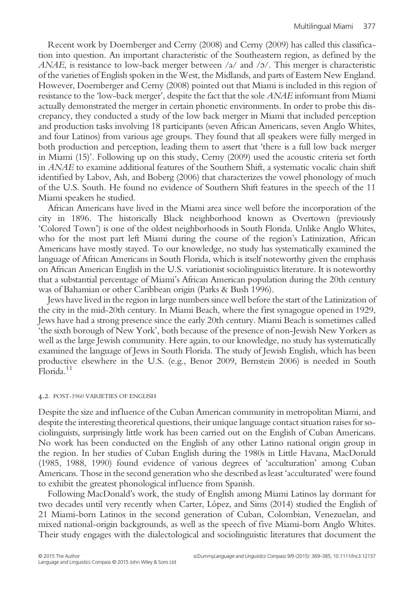Recent work by Doernberger and Cerny (2008) and Cerny (2009) has called this classification into question. An important characteristic of the Southeastern region, as defined by the ANAE, is resistance to low-back merger between  $/a$  and  $/b$ . This merger is characteristic of the varieties of English spoken in the West, the Midlands, and parts of Eastern New England. However, Doernberger and Cerny (2008) pointed out that Miami is included in this region of resistance to the 'low-back merger', despite the fact that the sole ANAE informant from Miami actually demonstrated the merger in certain phonetic environments. In order to probe this discrepancy, they conducted a study of the low back merger in Miami that included perception and production tasks involving 18 participants (seven African Americans, seven Anglo Whites, and four Latinos) from various age groups. They found that all speakers were fully merged in both production and perception, leading them to assert that 'there is a full low back merger in Miami (15)'. Following up on this study, Cerny (2009) used the acoustic criteria set forth in ANAE to examine additional features of the Southern Shift, a systematic vocalic chain shift identified by Labov, Ash, and Boberg (2006) that characterizes the vowel phonology of much of the U.S. South. He found no evidence of Southern Shift features in the speech of the 11 Miami speakers he studied.

African Americans have lived in the Miami area since well before the incorporation of the city in 1896. The historically Black neighborhood known as Overtown (previously 'Colored Town') is one of the oldest neighborhoods in South Florida. Unlike Anglo Whites, who for the most part left Miami during the course of the region's Latinization, African Americans have mostly stayed. To our knowledge, no study has systematically examined the language of African Americans in South Florida, which is itself noteworthy given the emphasis on African American English in the U.S. variationist sociolinguistics literature. It is noteworthy that a substantial percentage of Miami's African American population during the 20th century was of Bahamian or other Caribbean origin (Parks & Bush 1996).

Jews have lived in the region in large numbers since well before the start of the Latinization of the city in the mid-20th century. In Miami Beach, where the first synagogue opened in 1929, Jews have had a strong presence since the early 20th century. Miami Beach is sometimes called 'the sixth borough of New York', both because of the presence of non-Jewish New Yorkers as well as the large Jewish community. Here again, to our knowledge, no study has systematically examined the language of Jews in South Florida. The study of Jewish English, which has been productive elsewhere in the U.S. (e.g., Benor 2009, Bernstein 2006) is needed in South Florida.11

#### 4.2. POST-1960 VARIETIES OF ENGLISH

Despite the size and influence of the Cuban American community in metropolitan Miami, and despite the interesting theoretical questions, their unique language contact situation raises for sociolinguists, surprisingly little work has been carried out on the English of Cuban Americans. No work has been conducted on the English of any other Latino national origin group in the region. In her studies of Cuban English during the 1980s in Little Havana, MacDonald (1985, 1988, 1990) found evidence of various degrees of 'acculturation' among Cuban Americans. Those in the second generation who she described as least 'acculturated' were found to exhibit the greatest phonological inf luence from Spanish.

Following MacDonald's work, the study of English among Miami Latinos lay dormant for two decades until very recently when Carter, López, and Sims (2014) studied the English of 21 Miami-born Latinos in the second generation of Cuban, Colombian, Venezuelan, and mixed national-origin backgrounds, as well as the speech of five Miami-born Anglo Whites. Their study engages with the dialectological and sociolinguistic literatures that document the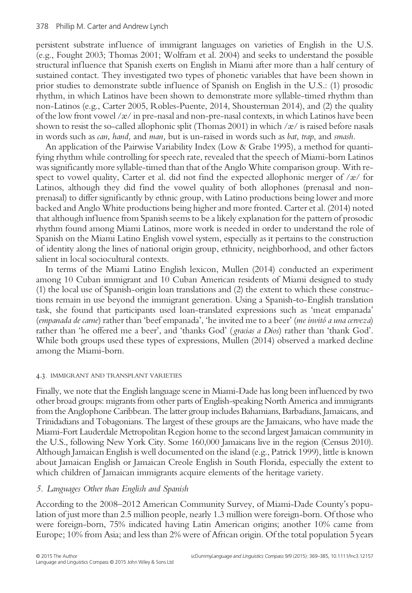persistent substrate inf luence of immigrant languages on varieties of English in the U.S. (e.g., Fought 2003; Thomas 2001; Wolfram et al. 2004) and seeks to understand the possible structural inf luence that Spanish exerts on English in Miami after more than a half century of sustained contact. They investigated two types of phonetic variables that have been shown in prior studies to demonstrate subtle inf luence of Spanish on English in the U.S.: (1) prosodic rhythm, in which Latinos have been shown to demonstrate more syllable-timed rhythm than non-Latinos (e.g., Carter 2005, Robles-Puente, 2014, Shousterman 2014), and (2) the quality of the low front vowel  $\alpha$  in pre-nasal and non-pre-nasal contexts, in which Latinos have been shown to resist the so-called allophonic split (Thomas 2001) in which /æ/ is raised before nasals in words such as can, hand, and man, but is un-raised in words such as bat, trap, and smash.

An application of the Pairwise Variability Index (Low & Grabe 1995), a method for quantifying rhythm while controlling for speech rate, revealed that the speech of Miami-born Latinos was significantly more syllable-timed than that of the Anglo White comparison group. With respect to vowel quality, Carter et al. did not find the expected allophonic merger of  $\alpha$  for Latinos, although they did find the vowel quality of both allophones (prenasal and nonprenasal) to differ significantly by ethnic group, with Latino productions being lower and more backed and Anglo White productions being higher and more fronted. Carter et al. (2014) noted that although inf luence from Spanish seems to be a likely explanation for the pattern of prosodic rhythm found among Miami Latinos, more work is needed in order to understand the role of Spanish on the Miami Latino English vowel system, especially as it pertains to the construction of identity along the lines of national origin group, ethnicity, neighborhood, and other factors salient in local sociocultural contexts.

In terms of the Miami Latino English lexicon, Mullen (2014) conducted an experiment among 10 Cuban immigrant and 10 Cuban American residents of Miami designed to study (1) the local use of Spanish-origin loan translations and (2) the extent to which these constructions remain in use beyond the immigrant generation. Using a Spanish-to-English translation task, she found that participants used loan-translated expressions such as 'meat empanada' (empanada de carne) rather than 'beef empanada', 'he invited me to a beer' (me invitó a una cerveza) rather than 'he offered me a beer', and 'thanks God' (gracias a Dios) rather than 'thank God'. While both groups used these types of expressions, Mullen (2014) observed a marked decline among the Miami-born.

## 4.3. IMMIGRANT AND TRANSPLANT VARIETIES

Finally, we note that the English language scene in Miami-Dade has long been inf luenced by two other broad groups: migrants from other parts of English-speaking North America and immigrants from the Anglophone Caribbean. The latter group includes Bahamians, Barbadians, Jamaicans, and Trinidadians and Tobagonians. The largest of these groups are the Jamaicans, who have made the Miami-Fort Lauderdale Metropolitan Region home to the second largest Jamaican community in the U.S., following New York City. Some 160,000 Jamaicans live in the region (Census 2010). Although Jamaican English is well documented on the island (e.g., Patrick 1999), little is known about Jamaican English or Jamaican Creole English in South Florida, especially the extent to which children of Jamaican immigrants acquire elements of the heritage variety.

# 5. Languages Other than English and Spanish

According to the 2008–2012 American Community Survey, of Miami-Dade County's population of just more than 2.5 million people, nearly 1.3 million were foreign-born. Of those who were foreign-born, 75% indicated having Latin American origins; another 10% came from Europe; 10% from Asia; and less than 2% were of African origin. Of the total population 5 years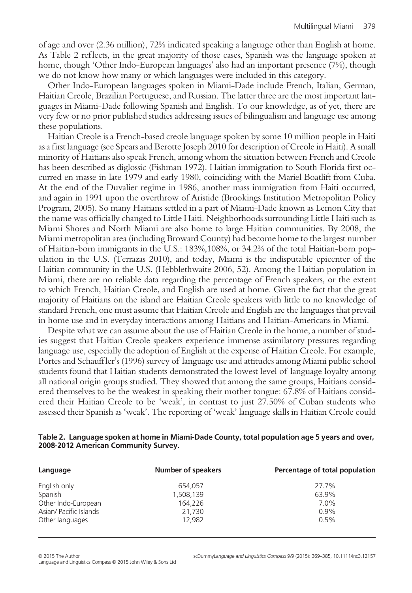of age and over (2.36 million), 72% indicated speaking a language other than English at home. As Table 2 ref lects, in the great majority of those cases, Spanish was the language spoken at home, though 'Other Indo-European languages' also had an important presence (7%), though we do not know how many or which languages were included in this category.

Other Indo-European languages spoken in Miami-Dade include French, Italian, German, Haitian Creole, Brazilian Portuguese, and Russian. The latter three are the most important languages in Miami-Dade following Spanish and English. To our knowledge, as of yet, there are very few or no prior published studies addressing issues of bilingualism and language use among these populations.

Haitian Creole is a French-based creole language spoken by some 10 million people in Haiti as a first language (see Spears and Berotte Joseph 2010 for description of Creole in Haiti). A small minority of Haitians also speak French, among whom the situation between French and Creole has been described as diglossic (Fishman 1972). Haitian immigration to South Florida first occurred en masse in late 1979 and early 1980, coinciding with the Mariel Boatlift from Cuba. At the end of the Duvalier regime in 1986, another mass immigration from Haiti occurred, and again in 1991 upon the overthrow of Aristide (Brookings Institution Metropolitan Policy Program, 2005). So many Haitians settled in a part of Miami-Dade known as Lemon City that the name was officially changed to Little Haiti. Neighborhoods surrounding Little Haiti such as Miami Shores and North Miami are also home to large Haitian communities. By 2008, the Miami metropolitan area (including Broward County) had become home to the largest number of Haitian-born immigrants in the U.S.: 183%,108%, or 34.2% of the total Haitian-born population in the U.S. (Terrazas 2010), and today, Miami is the indisputable epicenter of the Haitian community in the U.S. (Hebblethwaite 2006, 52). Among the Haitian population in Miami, there are no reliable data regarding the percentage of French speakers, or the extent to which French, Haitian Creole, and English are used at home. Given the fact that the great majority of Haitians on the island are Haitian Creole speakers with little to no knowledge of standard French, one must assume that Haitian Creole and English are the languages that prevail in home use and in everyday interactions among Haitians and Haitian-Americans in Miami.

Despite what we can assume about the use of Haitian Creole in the home, a number of studies suggest that Haitian Creole speakers experience immense assimilatory pressures regarding language use, especially the adoption of English at the expense of Haitian Creole. For example, Portes and Schauff ler's (1996) survey of language use and attitudes among Miami public school students found that Haitian students demonstrated the lowest level of language loyalty among all national origin groups studied. They showed that among the same groups, Haitians considered themselves to be the weakest in speaking their mother tongue: 67.8% of Haitians considered their Haitian Creole to be 'weak', in contrast to just 27.50% of Cuban students who assessed their Spanish as 'weak'. The reporting of 'weak' language skills in Haitian Creole could

| Language     | Number of speakers | Percentage of total population |  |  |
|--------------|--------------------|--------------------------------|--|--|
| English only | 654.057            | 27.7%                          |  |  |
| Spanish      | 1,508,139          | 63.9%                          |  |  |

Other Indo-European 164,226 7.0% Asian/ Pacific Islands 21.730 0.9% Other languages and the control of the control of the control of the control of the control of the control of the control of the control of the control of the control of the control of the control of the control of the con

Table 2. Language spoken at home in Miami-Dade County, total population age 5 years and over, 2008-2012 American Community Survey.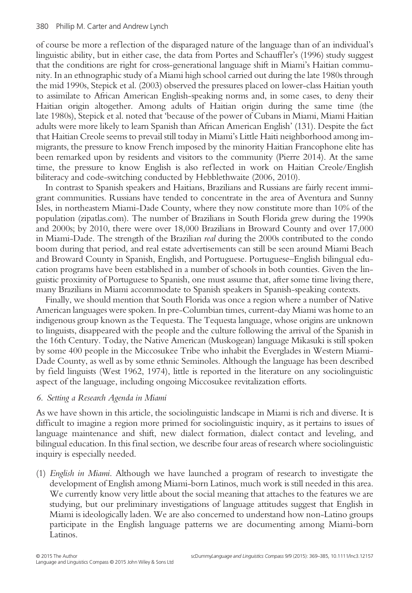of course be more a ref lection of the disparaged nature of the language than of an individual's linguistic ability, but in either case, the data from Portes and Schauff ler's (1996) study suggest that the conditions are right for cross-generational language shift in Miami's Haitian community. In an ethnographic study of a Miami high school carried out during the late 1980s through the mid 1990s, Stepick et al. (2003) observed the pressures placed on lower-class Haitian youth to assimilate to African American English-speaking norms and, in some cases, to deny their Haitian origin altogether. Among adults of Haitian origin during the same time (the late 1980s), Stepick et al. noted that 'because of the power of Cubans in Miami, Miami Haitian adults were more likely to learn Spanish than African American English' (131). Despite the fact that Haitian Creole seems to prevail still today in Miami's Little Haiti neighborhood among immigrants, the pressure to know French imposed by the minority Haitian Francophone elite has been remarked upon by residents and visitors to the community (Pierre 2014). At the same time, the pressure to know English is also ref lected in work on Haitian Creole/English biliteracy and code-switching conducted by Hebblethwaite (2006, 2010).

In contrast to Spanish speakers and Haitians, Brazilians and Russians are fairly recent immigrant communities. Russians have tended to concentrate in the area of Aventura and Sunny Isles, in northeastern Miami-Dade County, where they now constitute more than 10% of the population (zipatlas.com). The number of Brazilians in South Florida grew during the 1990s and 2000s; by 2010, there were over 18,000 Brazilians in Broward County and over 17,000 in Miami-Dade. The strength of the Brazilian real during the 2000s contributed to the condo boom during that period, and real estate advertisements can still be seen around Miami Beach and Broward County in Spanish, English, and Portuguese. Portuguese–English bilingual education programs have been established in a number of schools in both counties. Given the linguistic proximity of Portuguese to Spanish, one must assume that, after some time living there, many Brazilians in Miami accommodate to Spanish speakers in Spanish-speaking contexts.

Finally, we should mention that South Florida was once a region where a number of Native American languages were spoken. In pre-Columbian times, current-day Miami was home to an indigenous group known as the Tequesta. The Tequesta language, whose origins are unknown to linguists, disappeared with the people and the culture following the arrival of the Spanish in the 16th Century. Today, the Native American (Muskogean) language Mikasuki is still spoken by some 400 people in the Miccosukee Tribe who inhabit the Everglades in Western Miami-Dade County, as well as by some ethnic Seminoles. Although the language has been described by field linguists (West 1962, 1974), little is reported in the literature on any sociolinguistic aspect of the language, including ongoing Miccosukee revitalization efforts.

## 6. Setting a Research Agenda in Miami

As we have shown in this article, the sociolinguistic landscape in Miami is rich and diverse. It is difficult to imagine a region more primed for sociolinguistic inquiry, as it pertains to issues of language maintenance and shift, new dialect formation, dialect contact and leveling, and bilingual education. In this final section, we describe four areas of research where sociolinguistic inquiry is especially needed.

(1) English in Miami. Although we have launched a program of research to investigate the development of English among Miami-born Latinos, much work is still needed in this area. We currently know very little about the social meaning that attaches to the features we are studying, but our preliminary investigations of language attitudes suggest that English in Miami is ideologically laden. We are also concerned to understand how non-Latino groups participate in the English language patterns we are documenting among Miami-born Latinos.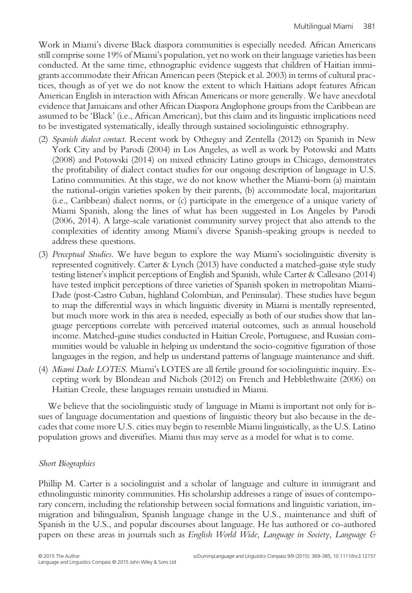Work in Miami's diverse Black diaspora communities is especially needed. African Americans still comprise some 19% of Miami's population, yet no work on their language varieties has been conducted. At the same time, ethnographic evidence suggests that children of Haitian immigrants accommodate their African American peers (Stepick et al. 2003) in terms of cultural practices, though as of yet we do not know the extent to which Haitians adopt features African American English in interaction with African Americans or more generally. We have anecdotal evidence that Jamaicans and other African Diaspora Anglophone groups from the Caribbean are assumed to be 'Black' (i.e., African American), but this claim and its linguistic implications need to be investigated systematically, ideally through sustained sociolinguistic ethnography.

- (2) Spanish dialect contact. Recent work by Otheguy and Zentella (2012) on Spanish in New York City and by Parodi (2004) in Los Angeles, as well as work by Potowski and Matts (2008) and Potowski (2014) on mixed ethnicity Latino groups in Chicago, demonstrates the profitability of dialect contact studies for our ongoing description of language in U.S. Latino communities. At this stage, we do not know whether the Miami-born (a) maintain the national-origin varieties spoken by their parents, (b) accommodate local, majoritarian (i.e., Caribbean) dialect norms, or (c) participate in the emergence of a unique variety of Miami Spanish, along the lines of what has been suggested in Los Angeles by Parodi (2006, 2014). A large-scale variationist community survey project that also attends to the complexities of identity among Miami's diverse Spanish-speaking groups is needed to address these questions.
- (3) Perceptual Studies. We have begun to explore the way Miami's sociolinguistic diversity is represented cognitively. Carter & Lynch (2013) have conducted a matched-guise style study testing listener's implicit perceptions of English and Spanish, while Carter & Callesano (2014) have tested implicit perceptions of three varieties of Spanish spoken in metropolitan Miami-Dade (post-Castro Cuban, highland Colombian, and Peninsular). These studies have begun to map the differential ways in which linguistic diversity in Miami is mentally represented, but much more work in this area is needed, especially as both of our studies show that language perceptions correlate with perceived material outcomes, such as annual household income. Matched-guise studies conducted in Haitian Creole, Portuguese, and Russian communities would be valuable in helping us understand the socio-cognitive figuration of those languages in the region, and help us understand patterns of language maintenance and shift.
- (4) Miami Dade LOTES. Miami's LOTES are all fertile ground for sociolinguistic inquiry. Excepting work by Blondeau and Nichols (2012) on French and Hebblethwaite (2006) on Haitian Creole, these languages remain unstudied in Miami.

We believe that the sociolinguistic study of language in Miami is important not only for issues of language documentation and questions of linguistic theory but also because in the decades that come more U.S. cities may begin to resemble Miami linguistically, as the U.S. Latino population grows and diversifies. Miami thus may serve as a model for what is to come.

## Short Biographies

Phillip M. Carter is a sociolinguist and a scholar of language and culture in immigrant and ethnolinguistic minority communities. His scholarship addresses a range of issues of contemporary concern, including the relationship between social formations and linguistic variation, immigration and bilingualism, Spanish language change in the U.S., maintenance and shift of Spanish in the U.S., and popular discourses about language. He has authored or co-authored papers on these areas in journals such as *English World Wide*, *Language in Society*, *Language &*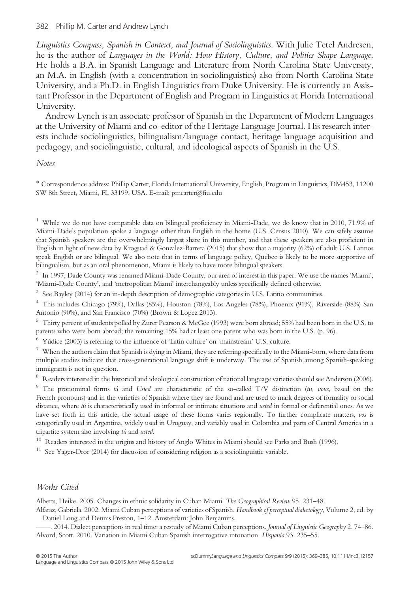Linguistics Compass, Spanish in Context, and Journal of Sociolinguistics. With Julie Tetel Andresen, he is the author of Languages in the World: How History, Culture, and Politics Shape Language. He holds a B.A. in Spanish Language and Literature from North Carolina State University, an M.A. in English (with a concentration in sociolinguistics) also from North Carolina State University, and a Ph.D. in English Linguistics from Duke University. He is currently an Assistant Professor in the Department of English and Program in Linguistics at Florida International University.

Andrew Lynch is an associate professor of Spanish in the Department of Modern Languages at the University of Miami and co-editor of the Heritage Language Journal. His research interests include sociolinguistics, bilingualism/language contact, heritage language acquisition and pedagogy, and sociolinguistic, cultural, and ideological aspects of Spanish in the U.S.

#### Notes

\* Correspondence address: Phillip Carter, Florida International University, English, Program in Linguistics, DM453, 11200 SW 8th Street, Miami, FL 33199, USA. E-mail: pmcarter@fiu.edu

<sup>2</sup> In 1997, Dade County was renamed Miami-Dade County, our area of interest in this paper. We use the names 'Miami', 'Miami-Dade County', and 'metropolitan Miami' interchangeably unless specifically defined otherwise.

<sup>3</sup> See Bayley (2014) for an in-depth description of demographic categories in U.S. Latino communities.

<sup>4</sup> This includes Chicago (79%), Dallas (85%), Houston (78%), Los Angeles (78%), Phoenix (91%), Riverside (88%) San Antonio (90%), and San Francisco (70%) (Brown & Lopez 2013).

<sup>5</sup> Thirty percent of students polled by Zurer Pearson & McGee (1993) were born abroad; 55% had been born in the U.S. to parents who were born abroad; the remaining 15% had at least one parent who was born in the U.S. (p. 96).

 $6$  Yúdice (2003) is referring to the influence of 'Latin culture' on 'mainstream' U.S. culture.

 $7\,$  When the authors claim that Spanish is dying in Miami, they are referring specifically to the Miami-born, where data from multiple studies indicate that cross-generational language shift is underway. The use of Spanish among Spanish-speaking immigrants is not in question.

<sup>8</sup> Readers interested in the historical and ideological construction of national language varieties should see Anderson (2006).

<sup>9</sup> The pronominal forms tú and Usted are characteristic of the so-called T/V distinction (tu, vous, based on the French pronouns) and in the varieties of Spanish where they are found and are used to mark degrees of formality or social distance, where tú is characteristically used in informal or intimate situations and usted in formal or deferential ones. As we have set forth in this article, the actual usage of these forms varies regionally. To further complicate matters, vos is categorically used in Argentina, widely used in Uruguay, and variably used in Colombia and parts of Central America in a tripartite system also involving tú and usted.

<sup>10</sup> Readers interested in the origins and history of Anglo Whites in Miami should see Parks and Bush (1996).

 $11$  See Yager-Dror (2014) for discussion of considering religion as a sociolinguistic variable.

## Works Cited

Alberts, Heike. 2005. Changes in ethnic solidarity in Cuban Miami. The Geographical Review 95. 231–48.

Alfaraz, Gabriela. 2002. Miami Cuban perceptions of varieties of Spanish. Handbook of perceptual dialectology, Volume 2, ed. by Daniel Long and Dennis Preston, 1–12. Amsterdam: John Benjamins.

——. 2014. Dialect perceptions in real time: a restudy of Miami Cuban perceptions. Journal of Linguistic Geography 2. 74–86. Alvord, Scott. 2010. Variation in Miami Cuban Spanish interrogative intonation. Hispania 93. 235–55.

<sup>&</sup>lt;sup>1</sup> While we do not have comparable data on bilingual proficiency in Miami-Dade, we do know that in 2010, 71.9% of Miami-Dade's population spoke a language other than English in the home (U.S. Census 2010). We can safely assume that Spanish speakers are the overwhelmingly largest share in this number, and that these speakers are also proficient in English in light of new data by Krogstad & Gonzalez-Barrera (2015) that show that a majority (62%) of adult U.S. Latinos speak English or are bilingual. We also note that in terms of language policy, Quebec is likely to be more supportive of bilingualism, but as an oral phenomenon, Miami is likely to have more bilingual speakers.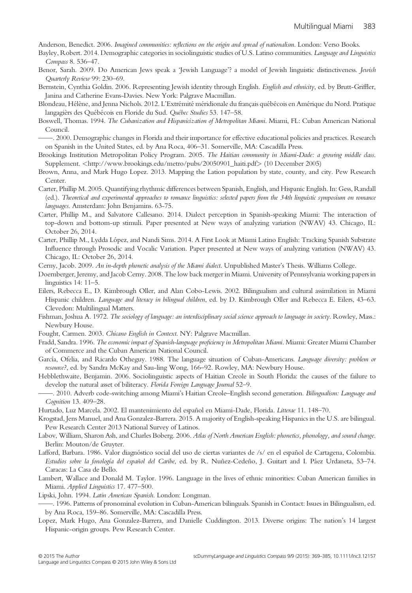Anderson, Benedict. 2006. Imagined communities: reflections on the origin and spread of nationalism. London: Verso Books.

- Bayley, Robert. 2014. Demographic categories in sociolinguistic studies of U.S. Latino communities. Language and Linguistics Compass 8. 536–47.
- Benor, Sarah. 2009. Do American Jews speak a 'Jewish Language'? a model of Jewish linguistic distinctiveness. Jewish Quarterly Review 99: 230–69.
- Bernstein, Cynthia Goldin. 2006. Representing Jewish identity through English. English and ethnicity, ed. by Brutt-Griffler, Janina and Catherine Evans-Davies. New York: Palgrave Macmillan.
- Blondeau, Hélène, and Jenna Nichols. 2012. L'Extrémité méridionale du français québécois en Amérique du Nord. Pratique langagièrs des Québécois en Floride du Sud. Québec Studies 53. 147–58.
- Boswell, Thomas. 1994. The Cubanization and Hispanicization of Metropolitan Miami. Miami, FL: Cuban American National Council.

——. 2000. Demographic changes in Florida and their importance for effective educational policies and practices. Research on Spanish in the United States, ed. by Ana Roca, 406–31. Somerville, MA: Cascadilla Press.

- Brookings Institution Metropolitan Policy Program. 2005. The Haitian community in Miami-Dade: a growing middle class. Supplement. <[http://www.brookings.edu/metro/pubs/20050901\\_haiti.pdf](http://www.brookings.edu/metro/pubs/20050901_haiti.pdf)> (10 December 2005)
- Brown, Anna, and Mark Hugo Lopez. 2013. Mapping the Lation population by state, county, and city. Pew Research Center.
- Carter, Phillip M. 2005. Quantifying rhythmic differences between Spanish, English, and Hispanic English. In: Gess, Randall (ed.). Theoretical and experimental approaches to romance linguistics: selected papers from the 34th linguistic symposium on romance languages. Amsterdam: John Benjamins. 63-75.
- Carter, Phillip M., and Salvatore Callesano. 2014. Dialect perception in Spanish-speaking Miami: The interaction of top-down and bottom-up stimuli. Paper presented at New ways of analyzing variation (NWAV) 43. Chicago, IL: October 26, 2014.
- Carter, Phillip M., Lydda López, and Nandi Sims. 2014. A First Look at Miami Latino English: Tracking Spanish Substrate Influence through Prosodic and Vocalic Variation. Paper presented at New ways of analyzing variation (NWAV) 43. Chicago, IL: October 26, 2014.

Cerny, Jacob. 2009. An in-depth phonetic analysis of the Miami dialect. Unpublished Master's Thesis. Williams College.

- Doernberger, Jeremy, and Jacob Cerny. 2008. The low back merger in Miami. University of Pennsylvania working papers in linguistics 14: 11–5.
- Eilers, Rebecca E., D. Kimbrough Oller, and Alan Cobo-Lewis. 2002. Bilingualism and cultural assimilation in Miami Hispanic children. Language and literacy in bilingual children, ed. by D. Kimbrough Oller and Rebecca E. Eilers, 43-63. Clevedon: Multilingual Matters.
- Fishman, Joshua A. 1972. The sociology of language: an interdisciplinary social science approach to language in society. Rowley, Mass.: Newbury House.
- Fought, Carmen. 2003. Chicano English in Context. NY: Palgrave Macmillan.
- Fradd, Sandra. 1996. The economic impact of Spanish-language proficiency in Metropolitan Miami. Miami: Greater Miami Chamber of Commerce and the Cuban American National Council.
- García, Ofelia, and Ricardo Otheguy. 1988. The language situation of Cuban-Americans. Language diversity: problem or resource?, ed. by Sandra McKay and Sau-ling Wong, 166–92. Rowley, MA: Newbury House.
- Hebblethwaite, Benjamin. 2006. Sociolinguistic aspects of Haitian Creole in South Florida: the causes of the failure to develop the natural asset of biliteracy. Florida Foreign Language Journal 52–9.
- ——. 2010. Adverb code-switching among Miami's Haitian Creole–English second generation. Bilingualism: Language and Cognition 13. 409–28.
- Hurtado, Luz Marcela. 2002. El mantenimiento del español en Miami-Dade, Florida. Litterae 11. 148–70.
- Krogstad, Jens Manuel, and Ana Gonzalez-Barrera. 2015. A majority of English-speaking Hispanics in the U.S. are bilingual. Pew Research Center 2013 National Survey of Latinos.
- Labov, William, Sharon Ash, and Charles Boberg. 2006. Atlas of North American English: phonetics, phonology, and sound change. Berlin: Mouton/de Gruyter.
- Lafford, Barbara. 1986. Valor diagnóstico social del uso de ciertas variantes de /s/ en el español de Cartagena, Colombia. Estudios sobre la fonología del español del Caribe, ed. by R. Nuñez-Cedeño, J. Guitart and I. Páez Urdaneta, 53–74. Caracas: La Casa de Bello.
- Lambert, Wallace and Donald M. Taylor. 1996. Language in the lives of ethnic minorities: Cuban American families in Miami. Applied Linguistics 17. 477–500.

Lipski, John. 1994. Latin American Spanish. London: Longman.

——. 1996. Patterns of pronominal evolution in Cuban-American bilinguals. Spanish in Contact: Issues in Bilingualism, ed. by Ana Roca, 159–86. Somerville, MA: Cascadilla Press.

Lopez, Mark Hugo, Ana Gonzalez-Barrera, and Danielle Cuddington. 2013. Diverse origins: The nation's 14 largest Hispanic-origin groups. Pew Research Center.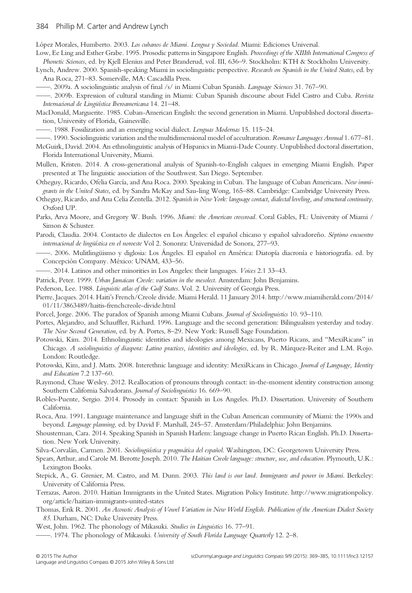López Morales, Humberto. 2003. Los cubanos de Miami. Lengua y Sociedad. Miami: Ediciones Universal.

- Low, Ee Ling and Esther Grabe. 1995. Prosodic patterns in Singapore English. Proceedings of the XIIIth International Congress of Phonetic Sciences, ed. by Kjell Elenius and Peter Branderud, vol. III, 636–9. Stockholm: KTH & Stockholm University.
- Lynch, Andrew. 2000. Spanish-speaking Miami in sociolinguistic perspective. Research on Spanish in the United States, ed. by Ana Roca, 271–83. Somerville, MA: Cascadilla Press.
- ——. 2009a. A sociolinguistic analysis of final /s/ in Miami Cuban Spanish. Language Sciences 31. 767–90.
- ——. 2009b. Expression of cultural standing in Miami: Cuban Spanish discourse about Fidel Castro and Cuba. Revista Internacional de Lingüística Iberoamericana 14. 21–48.
- MacDonald, Marguerite. 1985. Cuban-American English: the second generation in Miami. Unpublished doctoral dissertation, University of Florida, Gainesville.
- ——. 1988. Fossilization and an emerging social dialect. Lenguas Modernas 15. 115–24.
- —. 1990. Sociolinguistic variation and the multidimensional model of acculturation. Romance Languages Annual 1. 677–81.
- McGuirk, David. 2004. An ethnolinguistic analysis of Hispanics in Miami-Dade County. Unpublished doctoral dissertation, Florida International University, Miami.
- Mullen, Kristen. 2014. A cross-generational analysis of Spanish-to-English calques in emerging Miami English. Paper presented at The linguistic association of the Southwest. San Diego. September.
- Otheguy, Ricardo, Ofelia García, and Ana Roca. 2000. Speaking in Cuban. The language of Cuban Americans. New immigrants in the United States, ed. by Sandra McKay and Sau-ling Wong, 165–88. Cambridge: Cambridge University Press.
- Otheguy, Ricardo, and Ana Celia Zentella. 2012. Spanish in New York: language contact, dialectal leveling, and structural continuity. Oxford UP.
- Parks, Arva Moore, and Gregory W. Bush. 1996. Miami: the American crossroad. Coral Gables, FL: University of Miami / Simon & Schuster.
- Parodi, Claudia. 2004. Contacto de dialectos en Los Ángeles: el español chicano y español salvadoreño. Séptimo encuentro internacional de lingüística en el noroeste Vol 2. Sononra: Universidad de Sonora, 277–93.
- ——. 2006. Mulitlingüismo y diglosia: Los Ángeles. El español en América: Diatopía diacronía e historiografía. ed. by Concepción Company. México: UNAM, 433–56.
- ——. 2014. Latinos and other minorities in Los Angeles: their languages. Voices 2.1 33–43.
- Patrick, Peter. 1999. Urban Jamaican Creole: variation in the mesolect. Amsterdam: John Benjamins.
- Pederson, Lee. 1988. Linguistic atlas of the Gulf States. Vol. 2. University of Georgia Press.
- Pierre, Jacques. 2014. Haiti's French/Creole divide. Miami Herald. 11 January 2014. [http://www.miamiherald.com/2014/](http://www.miamiherald.com/2014/01/11/3863489/haitis-frenchcreole-divide.html) [01/11/3863489/haitis-frenchcreole-divide.html](http://www.miamiherald.com/2014/01/11/3863489/haitis-frenchcreole-divide.html)
- Porcel, Jorge. 2006. The paradox of Spanish among Miami Cubans. Journal of Sociolinguistics 10. 93–110.
- Portes, Alejandro, and Schauffler, Richard. 1996. Language and the second generation: Bilingualism yesterday and today. The New Second Generation, ed. by A. Portes, 8–29. New York: Russell Sage Foundation.
- Potowski, Kim. 2014. Ethnolinguistic identities and ideologies among Mexicans, Puerto Ricans, and "MexiRicans" in Chicago. A sociolinguistics of diaspora: Latino practices, identities and ideologies, ed. by R. Márquez-Reiter and L.M. Rojo. London: Routledge.
- Potowski, Kim, and J. Matts. 2008. Interethnic language and identity: MexiRicans in Chicago. Journal of Language, Identity and Education 7.2 137–60.
- Raymond, Chase Wesley. 2012. Reallocation of pronouns through contact: in-the-moment identity construction among Southern California Salvadorans. Journal of Sociolinguistics 16. 669–90.
- Robles-Puente, Sergio. 2014. Prosody in contact: Spanish in Los Angeles. Ph.D. Dissertation. University of Southern California.
- Roca, Ana. 1991. Language maintenance and language shift in the Cuban American community of Miami: the 1990s and beyond. Language planning, ed. by David F. Marshall, 245–57. Amsterdam/Philadelphia: John Benjamins.
- Shousterman, Cara. 2014. Speaking Spanish in Spanish Harlem: language change in Puerto Rican English. Ph.D. Dissertation. New York University.
- Silva-Corvalán, Carmen. 2001. Sociolingüística y pragmática del español. Washington, DC: Georgetown University Press.
- Spears, Arthur, and Carole M. Berotte Joseph. 2010. The Haitian Creole language: structure, use, and education. Plymouth, U.K.: Lexington Books.
- Stepick, A., G. Grenier, M. Castro, and M. Dunn. 2003. This land is our land. Immigrants and power in Miami. Berkeley: University of California Press.
- Terrazas, Aaron. 2010. Haitian Immigrants in the United States. Migration Policy Institute. [http://www.migrationpolicy.](http://www.migrationpolicy.org/article/haitian-immigrants-united-states) [org/article/haitian-immigrants-united-states](http://www.migrationpolicy.org/article/haitian-immigrants-united-states)
- Thomas, Erik R. 2001. An Acoustic Analysis of Vowel Variation in New World English. Publication of the American Dialect Society 85. Durham, NC: Duke University Press.
- West, John. 1962. The phonology of Mikasuki. Studies in Linguistics 16. 77–91.
- ——. 1974. The phonology of Mikasuki. University of South Florida Language Quarterly 12. 2–8.